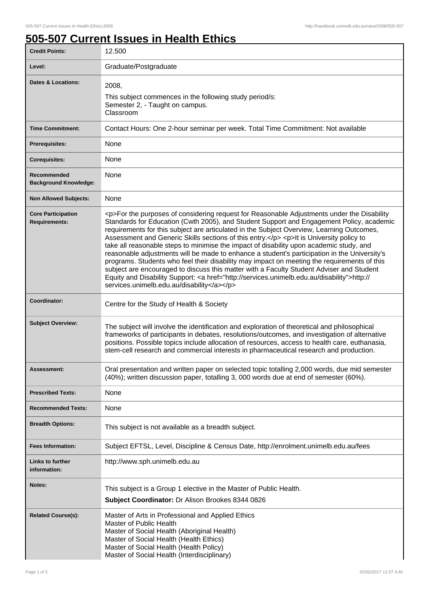## **505-507 Current Issues in Health Ethics**

| <b>Credit Points:</b>                             | 12.500                                                                                                                                                                                                                                                                                                                                                                                                                                                                                                                                                                                                                                                                                                                                                                                                                                                                                                                                    |
|---------------------------------------------------|-------------------------------------------------------------------------------------------------------------------------------------------------------------------------------------------------------------------------------------------------------------------------------------------------------------------------------------------------------------------------------------------------------------------------------------------------------------------------------------------------------------------------------------------------------------------------------------------------------------------------------------------------------------------------------------------------------------------------------------------------------------------------------------------------------------------------------------------------------------------------------------------------------------------------------------------|
| Level:                                            | Graduate/Postgraduate                                                                                                                                                                                                                                                                                                                                                                                                                                                                                                                                                                                                                                                                                                                                                                                                                                                                                                                     |
| <b>Dates &amp; Locations:</b>                     | 2008,<br>This subject commences in the following study period/s:<br>Semester 2, - Taught on campus.<br>Classroom                                                                                                                                                                                                                                                                                                                                                                                                                                                                                                                                                                                                                                                                                                                                                                                                                          |
| <b>Time Commitment:</b>                           | Contact Hours: One 2-hour seminar per week. Total Time Commitment: Not available                                                                                                                                                                                                                                                                                                                                                                                                                                                                                                                                                                                                                                                                                                                                                                                                                                                          |
| <b>Prerequisites:</b>                             | None                                                                                                                                                                                                                                                                                                                                                                                                                                                                                                                                                                                                                                                                                                                                                                                                                                                                                                                                      |
| <b>Corequisites:</b>                              | None                                                                                                                                                                                                                                                                                                                                                                                                                                                                                                                                                                                                                                                                                                                                                                                                                                                                                                                                      |
| Recommended<br><b>Background Knowledge:</b>       | None                                                                                                                                                                                                                                                                                                                                                                                                                                                                                                                                                                                                                                                                                                                                                                                                                                                                                                                                      |
| <b>Non Allowed Subjects:</b>                      | None                                                                                                                                                                                                                                                                                                                                                                                                                                                                                                                                                                                                                                                                                                                                                                                                                                                                                                                                      |
| <b>Core Participation</b><br><b>Requirements:</b> | <p>For the purposes of considering request for Reasonable Adjustments under the Disability<br/>Standards for Education (Cwth 2005), and Student Support and Engagement Policy, academic<br/>requirements for this subject are articulated in the Subject Overview, Learning Outcomes,<br/>Assessment and Generic Skills sections of this entry.</p> <p> <p> &gt; this University policy to<br/>take all reasonable steps to minimise the impact of disability upon academic study, and<br/>reasonable adjustments will be made to enhance a student's participation in the University's<br/>programs. Students who feel their disability may impact on meeting the requirements of this<br/>subject are encouraged to discuss this matter with a Faculty Student Adviser and Student<br/>Equity and Disability Support: &lt; a href="http://services.unimelb.edu.au/disability"&gt;http://<br/>services.unimelb.edu.au/disability</p></p> |
| Coordinator:                                      | Centre for the Study of Health & Society                                                                                                                                                                                                                                                                                                                                                                                                                                                                                                                                                                                                                                                                                                                                                                                                                                                                                                  |
| <b>Subject Overview:</b>                          | The subject will involve the identification and exploration of theoretical and philosophical<br>frameworks of participants in debates, resolutions/outcomes, and investigation of alternative<br>positions. Possible topics include allocation of resources, access to health care, euthanasia,<br>stem-cell research and commercial interests in pharmaceutical research and production.                                                                                                                                                                                                                                                                                                                                                                                                                                                                                                                                                 |
| Assessment:                                       | Oral presentation and written paper on selected topic totalling 2,000 words, due mid semester<br>(40%); written discussion paper, totalling 3, 000 words due at end of semester (60%).                                                                                                                                                                                                                                                                                                                                                                                                                                                                                                                                                                                                                                                                                                                                                    |
| <b>Prescribed Texts:</b>                          | None                                                                                                                                                                                                                                                                                                                                                                                                                                                                                                                                                                                                                                                                                                                                                                                                                                                                                                                                      |
| <b>Recommended Texts:</b>                         | None                                                                                                                                                                                                                                                                                                                                                                                                                                                                                                                                                                                                                                                                                                                                                                                                                                                                                                                                      |
| <b>Breadth Options:</b>                           | This subject is not available as a breadth subject.                                                                                                                                                                                                                                                                                                                                                                                                                                                                                                                                                                                                                                                                                                                                                                                                                                                                                       |
| <b>Fees Information:</b>                          | Subject EFTSL, Level, Discipline & Census Date, http://enrolment.unimelb.edu.au/fees                                                                                                                                                                                                                                                                                                                                                                                                                                                                                                                                                                                                                                                                                                                                                                                                                                                      |
| Links to further<br>information:                  | http://www.sph.unimelb.edu.au                                                                                                                                                                                                                                                                                                                                                                                                                                                                                                                                                                                                                                                                                                                                                                                                                                                                                                             |
| Notes:                                            | This subject is a Group 1 elective in the Master of Public Health.<br>Subject Coordinator: Dr Alison Brookes 8344 0826                                                                                                                                                                                                                                                                                                                                                                                                                                                                                                                                                                                                                                                                                                                                                                                                                    |
| <b>Related Course(s):</b>                         | Master of Arts in Professional and Applied Ethics<br>Master of Public Health<br>Master of Social Health (Aboriginal Health)<br>Master of Social Health (Health Ethics)<br>Master of Social Health (Health Policy)<br>Master of Social Health (Interdisciplinary)                                                                                                                                                                                                                                                                                                                                                                                                                                                                                                                                                                                                                                                                          |